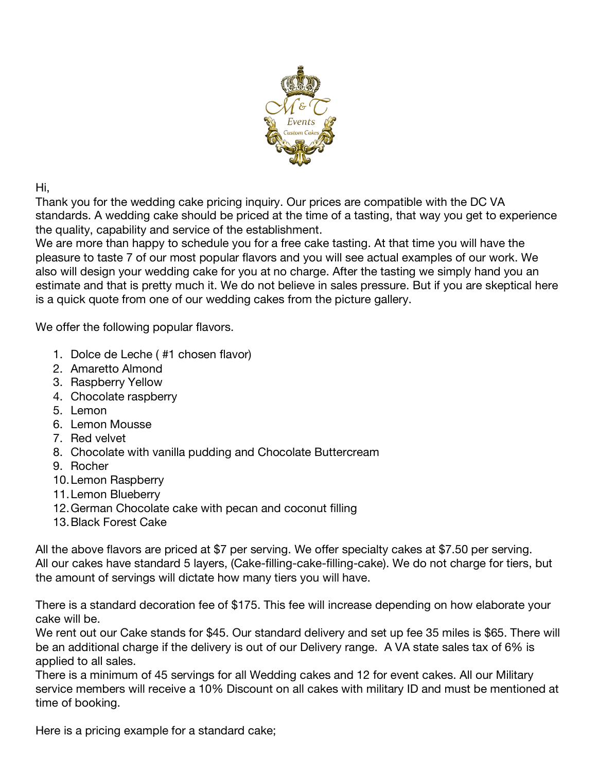

Hi,

Thank you for the wedding cake pricing inquiry. Our prices are compatible with the DC VA standards. A wedding cake should be priced at the time of a tasting, that way you get to experience the quality, capability and service of the establishment.

We are more than happy to schedule you for a free cake tasting. At that time you will have the pleasure to taste 7 of our most popular flavors and you will see actual examples of our work. We also will design your wedding cake for you at no charge. After the tasting we simply hand you an estimate and that is pretty much it. We do not believe in sales pressure. But if you are skeptical here is a quick quote from one of our wedding cakes from the picture gallery.

We offer the following popular flavors.

- 1. Dolce de Leche ( #1 chosen flavor)
- 2. Amaretto Almond
- 3. Raspberry Yellow
- 4. Chocolate raspberry
- 5. Lemon
- 6. Lemon Mousse
- 7. Red velvet
- 8. Chocolate with vanilla pudding and Chocolate Buttercream
- 9. Rocher
- 10.Lemon Raspberry
- 11.Lemon Blueberry
- 12.German Chocolate cake with pecan and coconut filling
- 13.Black Forest Cake

All the above flavors are priced at \$7 per serving. We offer specialty cakes at \$7.50 per serving. All our cakes have standard 5 layers, (Cake-filling-cake-filling-cake). We do not charge for tiers, but the amount of servings will dictate how many tiers you will have.

There is a standard decoration fee of \$175. This fee will increase depending on how elaborate your cake will be.

We rent out our Cake stands for \$45. Our standard delivery and set up fee 35 miles is \$65. There will be an additional charge if the delivery is out of our Delivery range. A VA state sales tax of 6% is applied to all sales.

There is a minimum of 45 servings for all Wedding cakes and 12 for event cakes. All our Military service members will receive a 10% Discount on all cakes with military ID and must be mentioned at time of booking.

Here is a pricing example for a standard cake;